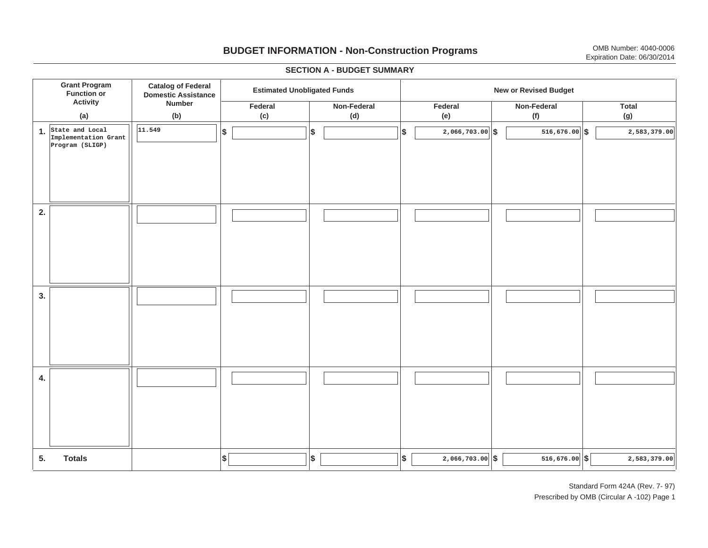## **BUDGET INFORMATION - Non-Construction Programs** OMB Number: 4040-0006 Expiration Date: 06/30/2014

**\$ Grant Program Function or Activity (a) Catalog of Federal Domestic Assistance Number (b) Estimated Unobligated Funds New or Revised Budget Federal(c) Non-Federal(d) Federal(e) Non-Federal (f) Total(g) 5. Totals4. 3. 2. 1.State and Local \$\$\$\$ \$ \$ \$ \$ \$ 2,066,703.00 516,676.00 2,583,379.00** I I I I I I I I I **Implementation Grant Program (SLIGP) 11.549516,676.00 516,676.00 5 516,676.00 5 516,676.00 5 516,676.00 5 516,676.00 5 516 516 516 516 516 516 516 516 516 516 516 516 516 516 516 516 516 516 516 516 516** I I I I I I I I I I I I I I I I I I I I I I I I I I I I I I I I I I I I I I I I I I I I

#### **SECTION A - BUDGET SUMMARY**

Standard Form 424A (Rev. 7- 97) Prescribed by OMB (Circular A -102) Page 1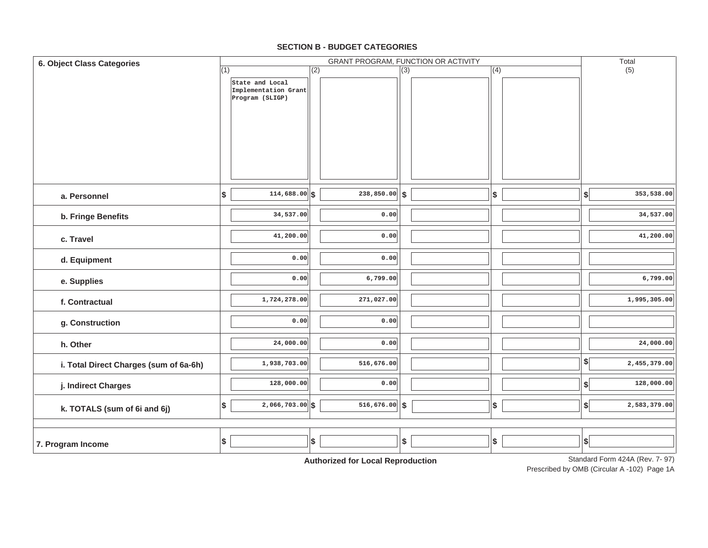#### **7. Program Income d. Equipment e. Supplies f. Contractualg. Construction h. Otherj. Indirect Charges k. TOTALS (sum of 6i and 6j) i. Total Direct Charges (sum of 6a-6h)** (1) Standard Form 424A (Rev. 7- 97) GRANT PROGRAM, FUNCTION OR ACTIVITY (2) (3) (4) (5) **6. Object Class Categories** Total **a. Personnelb. Fringe Benefits c. TravelState and Local Implementation Grant Program (SLIGP) 114,688.00 \$ \$ \$ \$ \$ 34,537.00 41,200.00 0.000.001,724,278.00 0.0024,000.00 1,938,703.00 128,000.00 2,066,703.00 \$ \$ \$ \$ \$ 238,850.00 0.00 0.000.006,799.00 271,027.00 0.000.00516,676.00 0.00516,676.00 353,538.00 34,537.00 41,200.00 6,799.00 1,995,305.00 24,000.00 2,455,379.00** I I I **128,000.00 2,583,379.00** I I I **\$ \$ \$ \$ \$ \$ \$**  $\|\$$  |  $\|$   $\|$   $\$$  |  $\$   $\|$   $\$$  |  $\$   $\$   $353,538.00$ | I I I I I I I I I I I I I I I I I I  $\|\hspace{.6cm} \|$   $\|\hspace{.6cm} \|$   $\|\hspace{.6cm} \|$   $\|\hspace{.6cm}$   $\|\hspace{.6cm}$   $\|\hspace{.6cm}$   $\|\hspace{.6cm}$   $\|\hspace{.6cm}$   $\|\hspace{.6cm}$   $\|\hspace{.6cm}$   $\|\hspace{.6cm}$   $\|\hspace{.6cm}$   $\|\hspace{.6cm}$   $\|\hspace{.6cm}$   $\|\hspace{.6cm}$   $\|\hspace{.6cm}$   $\|\hspace{.6cm}$   $\|\hspace{.6cm}$   $\$ I I I

#### **SECTION B - BUDGET CATEGORIES**

**Authorized for Local Reproduction**

Prescribed by OMB (Circular A -102) Page 1A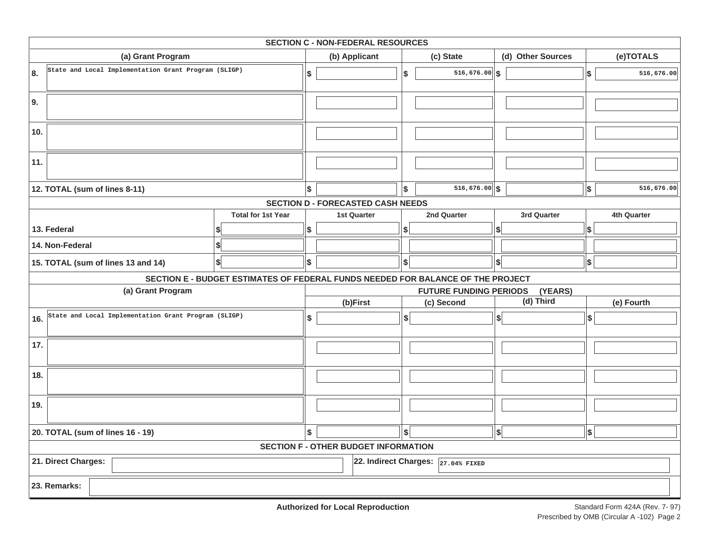| <b>SECTION C - NON-FEDERAL RESOURCES</b>                                        |                           |    |                                          |                          |                               |                              |            |             |
|---------------------------------------------------------------------------------|---------------------------|----|------------------------------------------|--------------------------|-------------------------------|------------------------------|------------|-------------|
| (a) Grant Program                                                               |                           |    | (b) Applicant                            |                          | (c) State                     | (d) Other Sources            |            | (e)TOTALS   |
| State and Local Implementation Grant Program (SLIGP)<br>8.                      |                           | \$ |                                          | \$                       | $516,676.00$ \$               |                              | \$         | 516,676.00  |
| 9.                                                                              |                           |    |                                          |                          |                               |                              |            |             |
| 10.                                                                             |                           |    |                                          |                          |                               |                              |            |             |
| 11.                                                                             |                           |    |                                          |                          |                               |                              |            |             |
| 12. TOTAL (sum of lines 8-11)                                                   |                           | \$ |                                          | Ι\$                      | $516,676.00$ \$               |                              | \$         | 516,676.00  |
|                                                                                 |                           |    | <b>SECTION D - FORECASTED CASH NEEDS</b> |                          |                               |                              |            |             |
|                                                                                 | <b>Total for 1st Year</b> |    | <b>1st Quarter</b>                       |                          | 2nd Quarter                   | 3rd Quarter                  |            | 4th Quarter |
| 13. Federal                                                                     |                           | \$ |                                          | \$                       |                               | S                            | \$         |             |
| 14. Non-Federal                                                                 |                           |    |                                          |                          |                               |                              |            |             |
| \$<br>15. TOTAL (sum of lines 13 and 14)                                        |                           | \$ |                                          | $\frac{1}{2}$            |                               | \$                           | $\vert$ \$ |             |
| SECTION E - BUDGET ESTIMATES OF FEDERAL FUNDS NEEDED FOR BALANCE OF THE PROJECT |                           |    |                                          |                          |                               |                              |            |             |
| (a) Grant Program                                                               |                           |    |                                          |                          | <b>FUTURE FUNDING PERIODS</b> | (YEARS)                      |            |             |
|                                                                                 |                           |    | (b)First                                 |                          | (c) Second                    | (d) Third                    |            | (e) Fourth  |
| State and Local Implementation Grant Program (SLIGP)<br>16.                     |                           | \$ |                                          | s                        |                               | $\left  \frac{1}{2} \right $ | \$         |             |
| 17.                                                                             |                           |    |                                          |                          |                               |                              |            |             |
| 18.                                                                             |                           |    |                                          |                          |                               |                              |            |             |
| 19.                                                                             |                           |    |                                          |                          |                               |                              |            |             |
| 20. TOTAL (sum of lines 16 - 19)                                                |                           |    |                                          | $\vert \mathsf{s} \vert$ |                               | \$                           | \$         |             |
| \$<br><b>SECTION F - OTHER BUDGET INFORMATION</b>                               |                           |    |                                          |                          |                               |                              |            |             |
| 21. Direct Charges:<br>22. Indirect Charges:<br>27.04% FIXED                    |                           |    |                                          |                          |                               |                              |            |             |
| 23. Remarks:                                                                    |                           |    |                                          |                          |                               |                              |            |             |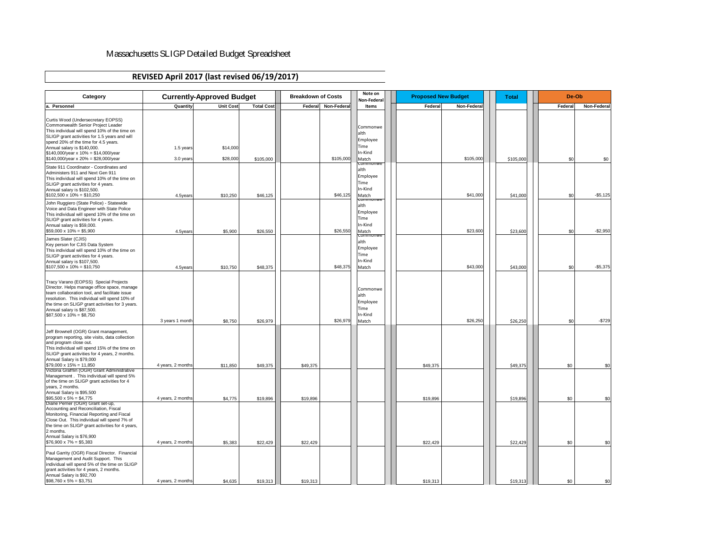| <b>Category</b>                                                                                                                                                                                                                                                                                                                              |                                        | <b>Currently-Approved Budget</b> |                      | <b>Breakdown of Costs</b> |                     | Note on<br>Non-Federal                                                                        | <b>Proposed New Budget</b> |                      | <b>Total</b> |           | De-Ob                |         |            |                    |
|----------------------------------------------------------------------------------------------------------------------------------------------------------------------------------------------------------------------------------------------------------------------------------------------------------------------------------------------|----------------------------------------|----------------------------------|----------------------|---------------------------|---------------------|-----------------------------------------------------------------------------------------------|----------------------------|----------------------|--------------|-----------|----------------------|---------|------------|--------------------|
| a. Personnel                                                                                                                                                                                                                                                                                                                                 | Quantity                               | <b>Unit Cost</b>                 | <b>Total Cost</b>    |                           | Federal Non-Federal | <b>Items</b>                                                                                  |                            | Federal              | Non-Federal  |           |                      | Federal |            | <b>Non-Federal</b> |
| Curtis Wood (Undersecretary EOPSS)<br>Commonwealth Senior Project Leader<br>This individual will spend 10% of the time on<br>SLIGP grant activities for 1.5 years and will<br>spend 20% of the time for 4.5 years.<br>Annual salary is \$140,000.<br>$$140,000$ /year x $10\% = $14,000$ /year<br>$$140,000/year \times 20\% = $28,000/year$ | 1.5 years<br>3.0 years                 | \$14,000<br>\$28,000             | \$105,000            |                           | \$105,000           | Commonwe<br>lalth<br>Employee<br><b>Time</b><br>In-Kind<br>Match                              |                            |                      | \$105,000    | \$105,000 |                      |         | \$0        | \$0                |
| State 911 Coordinator - Coordinates and<br>Administers 911 and Next Gen 911<br>This individual will spend 10% of the time on<br>SLIGP grant activities for 4 years.<br>Annual salary is \$102,500.<br>$$102,500 \times 10\% = $10,250$                                                                                                       | 4.5years                               | \$10,250                         | \$46,125             |                           | \$46,125            | <b>Commonwe</b><br>alth<br>Employee<br><b>Time</b><br>In-Kind<br>Match<br><del>commonwe</del> |                            |                      | \$41,000     |           | \$41,000             |         | \$0        | $-$ \$5,125        |
| John Ruggiero (State Police) - Statewide<br>Voice and Data Engineer with State Police<br>This individual will spend 10% of the time on<br>SLIGP grant activities for 4 years.<br>Annual salary is \$59,000.<br>$$59,000 \times 10\% = $5,900$                                                                                                | 4.5years                               | \$5,900                          | \$26,550             |                           | \$26,550            | alth<br>Employee<br><b>Time</b><br>In-Kind<br>Match                                           |                            |                      | \$23,600     |           | \$23,600             |         | \$0        | $-$2,950$          |
| James Slater (CJIS)<br>Key person for CJIS Data System<br>This individual will spend 10% of the time on<br>SLIGP grant activities for 4 years.<br>Annual salary is \$107,500.<br>$$107,500 \times 10\% = $10,750$                                                                                                                            | 4.5years                               | \$10,750                         | \$48,375             |                           | \$48,375            | <b>COMMONWE</b><br>alth<br>Employee<br><b>Time</b><br>In-Kind<br>Match                        |                            |                      | \$43,000     |           | \$43,000             |         | \$0        | $-$5,375$          |
| Tracy Varano (EOPSS) Special Projects<br>Director. Helps manage office space, manage<br>team collaboration tool, and facilitate issue<br>resolution. This individual will spend 10% of<br>the time on SLIGP grant activities for 3 years.<br>Annual salary is \$87,500.<br>$$87,500 \times 10\% = $8,750$                                    | 3 years 1 month                        | \$8,750                          | \$26,979             |                           | \$26,979            | Commonwe<br>alth<br>Employee<br><b>Time</b><br>In-Kind<br>Match                               |                            |                      | \$26,250     |           | \$26,250             |         | \$0        | $-$729$            |
| Jeff Brownell (OGR) Grant management,<br>program reporting, site visits, data collection<br>and program close out.<br>This individual will spend 15% of the time on<br>SLIGP grant activities for 4 years, 2 months.<br>Annual Salary is \$79,000                                                                                            |                                        |                                  |                      |                           |                     |                                                                                               |                            |                      |              |           |                      |         |            |                    |
| $$79,000 \times 15\% = 11,850$<br>Victoria Grafflin (OGR) Grant Administrative<br>Management . This individual will spend 5%<br>of the time on SLIGP grant activities for 4<br>years, 2 months.<br>Annual Salary is \$95,500                                                                                                                 | 4 years, 2 months                      | \$11,850                         | \$49,375             | \$49,375                  |                     |                                                                                               |                            | \$49,375             |              |           | \$49,375             |         | \$0        | \$0                |
| $$95,500 \times 5\% = $4,775$<br>Diane Perrier (OGR) Grant set-up,<br>Accounting and Reconciliation, Fiscal<br>Monitoring, Financial Reporting and Fiscal<br>Close Out. This individual will spend 7% of<br>the time on SLIGP grant activities for 4 years,<br>2 months.<br>Annual Salary is \$76,900<br>$$76,900 \times 7\% = $5,383$       | 4 years, 2 months<br>4 years, 2 months | \$4,775<br>\$5,383               | \$19,896<br>\$22,429 | \$19,896<br>\$22,429      |                     |                                                                                               |                            | \$19,896<br>\$22,429 |              |           | \$19,896<br>\$22,429 |         | \$0<br>\$0 | \$0<br>\$0         |
| Paul Garrity (OGR) Fiscal Director. Financial<br>Management and Audit Support. This<br>individual will spend 5% of the time on SLIGP<br>grant activities for 4 years, 2 months.<br>Annual Salary is \$92,700<br>$$98,760 \times 5\% = $3,751$                                                                                                | 4 years, 2 months                      | \$4,635                          | \$19,313             | \$19,313                  |                     |                                                                                               |                            | \$19,313             |              |           | \$19,313             |         | \$0        | \$0                |

# Massachusetts SLIGP Detailed Budget Spreadsheet

# **REVISED April 2017 (last revised 06/19/2017)**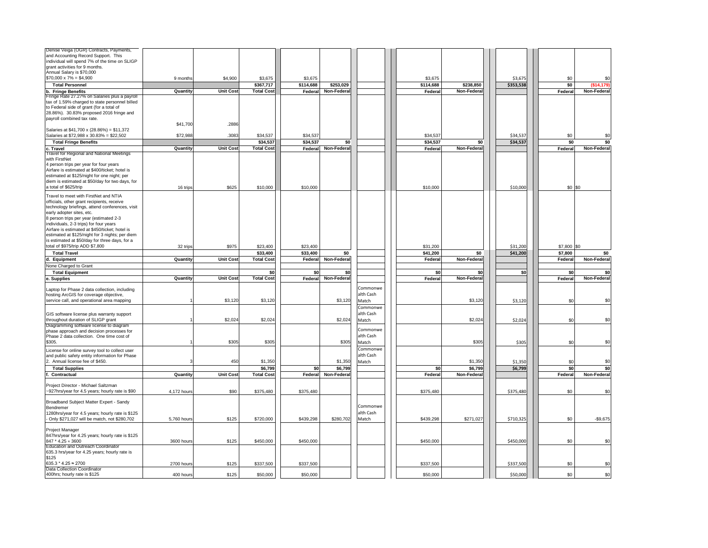| Denise Veiga (OGR) Contracts, Payments,<br>and Accounting Record Support. This                    |                 |                  |                   |           |                    |           |           |                    |           |                |                    |
|---------------------------------------------------------------------------------------------------|-----------------|------------------|-------------------|-----------|--------------------|-----------|-----------|--------------------|-----------|----------------|--------------------|
| individual will spend 7% of the time on SLIGP                                                     |                 |                  |                   |           |                    |           |           |                    |           |                |                    |
| grant activities for 9 months.<br>Annual Salary is \$70,000                                       |                 |                  |                   |           |                    |           |           |                    |           |                |                    |
| $$70,000 \times 7\% = $4,900$                                                                     | 9 months        | \$4,900          | \$3,675           | \$3,675   |                    |           | \$3,675   |                    | \$3,675   | \$0            | \$0                |
| <b>Total Personnel</b>                                                                            |                 |                  | \$367,717         | \$114,688 | \$253,029          |           | \$114,688 | \$238,850          | \$353,538 | \$0            | (\$14,179)         |
| b. Fringe Benefits                                                                                | Quantity        | <b>Unit Cost</b> | <b>Total Cost</b> | Federal   | <b>Non-Federal</b> |           | Federal   | <b>Non-Federal</b> |           | <b>Federal</b> | <b>Non-Federal</b> |
| Fringe Rate 27.27% on Salaries plus a payroll                                                     |                 |                  |                   |           |                    |           |           |                    |           |                |                    |
| tax of 1.59% charged to state personnel billed                                                    |                 |                  |                   |           |                    |           |           |                    |           |                |                    |
| to Federal side of grant (for a total of<br>28.86%). 30.83% proposed 2016 fringe and              |                 |                  |                   |           |                    |           |           |                    |           |                |                    |
| payroll combined tax rate.                                                                        |                 |                  |                   |           |                    |           |           |                    |           |                |                    |
|                                                                                                   | \$41,700        | .2886            |                   |           |                    |           |           |                    |           |                |                    |
| Salaries at $$41,700 \times (28.86%) = $11,372$                                                   |                 |                  |                   |           |                    |           |           |                    |           |                |                    |
| Salaries at \$72,988 x 30.83% = \$22,502                                                          | \$72,988        | .3083            | \$34,537          | \$34,537  |                    |           | \$34,537  |                    | \$34,537  | \$0            | \$0                |
| <b>Total Fringe Benefits</b>                                                                      |                 |                  | \$34,537          | \$34,537  | \$0                |           | \$34,537  | \$0                | \$34,537  | \$0            | \$0                |
| c. Travel<br><b>Travel for Regional and National Meetings</b>                                     | Quantity        | <b>Unit Cost</b> | <b>Total Cost</b> | Federal   | Non-Federal        |           | Federal   | <b>Non-Federal</b> |           | Federal        | Non-Federal        |
| with FirstNet                                                                                     |                 |                  |                   |           |                    |           |           |                    |           |                |                    |
| 4 person trips per year for four years                                                            |                 |                  |                   |           |                    |           |           |                    |           |                |                    |
| Airfare is estimated at \$400/ticket; hotel is                                                    |                 |                  |                   |           |                    |           |           |                    |           |                |                    |
| estimated at \$125/night for one night; per<br>diem is estimated at \$50/day for two days, for    |                 |                  |                   |           |                    |           |           |                    |           |                |                    |
| a total of \$625/trip                                                                             | 16 trips        | \$625            | \$10,000          | \$10,000  |                    |           | \$10,000  |                    | \$10,000  | $$0$ \$0       |                    |
|                                                                                                   |                 |                  |                   |           |                    |           |           |                    |           |                |                    |
| Travel to meet with FirstNet and NTIA<br>officials, other grant recipients, receive               |                 |                  |                   |           |                    |           |           |                    |           |                |                    |
| technology briefings, attend conferences, visit                                                   |                 |                  |                   |           |                    |           |           |                    |           |                |                    |
| early adopter sites, etc.                                                                         |                 |                  |                   |           |                    |           |           |                    |           |                |                    |
| 8 person trips per year (estimated 2-3                                                            |                 |                  |                   |           |                    |           |           |                    |           |                |                    |
| individuals, 2-3 trips) for four years                                                            |                 |                  |                   |           |                    |           |           |                    |           |                |                    |
| Airfare is estimated at \$450/ticket; hotel is<br>estimated at \$125/night for 3 nights; per diem |                 |                  |                   |           |                    |           |           |                    |           |                |                    |
| is estimated at \$50/day for three days, for a                                                    |                 |                  |                   |           |                    |           |           |                    |           |                |                    |
| total of \$975/trip ADD \$7,800                                                                   | 32 trips        | \$975            | \$23,400          | \$23,400  |                    |           | \$31,200  |                    | \$31,200  | $$7,800$ \$0   |                    |
| <b>Total Travel</b>                                                                               |                 |                  | \$33,400          | \$33,400  | \$0                |           | \$41,200  | \$0                | \$41,200  | \$7,800        | \$0                |
| d. Equipment                                                                                      | Quantity        | <b>Unit Cost</b> | <b>Total Cost</b> | Federal   | Non-Federal        |           | Federal   | <b>Non-Federal</b> |           | Federal        | <b>Non-Federal</b> |
| None Charged to Grant                                                                             |                 |                  |                   |           |                    |           |           |                    |           |                |                    |
| <b>Total Equipment</b>                                                                            |                 |                  | \$0               | \$0       | \$0                |           | \$0       | \$0                | \$0       | \$0            | \$0                |
| e. Supplies                                                                                       | Quantity        | <b>Unit Cost</b> | <b>Total Cost</b> | Federal   | <b>Non-Federal</b> |           | Federal   | <b>Non-Federal</b> |           | Federal        | <b>Non-Federal</b> |
|                                                                                                   |                 |                  |                   |           |                    | Commonwe  |           |                    |           |                |                    |
| Laptop for Phase 2 data collection, including<br>hosting ArcGIS for coverage objective,           |                 |                  |                   |           |                    | alth Cash |           |                    |           |                |                    |
| service call, and operational area mapping                                                        |                 | \$3,120          | \$3,120           |           | \$3,120            | Match     |           | \$3,120            | \$3,120   | \$0            | \$0                |
|                                                                                                   |                 |                  |                   |           |                    | Commonwe  |           |                    |           |                |                    |
| GIS software license plus warranty support                                                        |                 |                  |                   |           |                    | alth Cash |           |                    |           |                |                    |
| throughout duration of SLIGP grant                                                                |                 | \$2,024          | \$2,024           |           | \$2,024            | Match     |           | \$2,024            | \$2,024   | \$0            | \$0                |
| Diagramming software license to diagram                                                           |                 |                  |                   |           |                    | Commonwe  |           |                    |           |                |                    |
| phase approach and decision processes for<br>Phase 2 data collection. One time cost of            |                 |                  |                   |           |                    | alth Cash |           |                    |           |                |                    |
| \$305.                                                                                            |                 | \$305            | \$305             |           | \$305              | Match     |           | \$305              | \$305     | \$0            | \$0                |
| License for online survey tool to collect user                                                    |                 |                  |                   |           |                    | Commonwe  |           |                    |           |                |                    |
| and public safety entity information for Phase                                                    |                 |                  |                   |           |                    | alth Cash |           |                    |           |                |                    |
| 2. Annual license fee of \$450.                                                                   |                 | 450              | \$1,350           |           | \$1,350            | Match     |           | \$1,350            | \$1,350   | \$0            | \$0                |
| <b>Total Supplies</b>                                                                             |                 |                  | \$6,799           | \$0       | \$6,799            |           | \$0       | \$6,799            | \$6,799   | \$0            | \$0                |
| <b>Contractual</b>                                                                                | <b>Quantity</b> | <b>Unit Cost</b> | <b>Total Cost</b> | Federal   | <b>Non-Federal</b> |           | Federal   | <b>Non-Federal</b> |           | Federal        | <b>Non-Federal</b> |
|                                                                                                   |                 |                  |                   |           |                    |           |           |                    |           |                |                    |
| Project Director - Michael Saltzman<br>~927hrs/year for 4.5 years; hourly rate is \$90            | 4,172 hours     | \$90             | \$375,480         | \$375,480 |                    |           | \$375,480 |                    | \$375,480 | \$0            | \$0                |
|                                                                                                   |                 |                  |                   |           |                    |           |           |                    |           |                |                    |
| Broadband Subject Matter Expert - Sandy                                                           |                 |                  |                   |           |                    |           |           |                    |           |                |                    |
| Bendremer                                                                                         |                 |                  |                   |           |                    | Commonwe  |           |                    |           |                |                    |
| 1280hrs/year for 4.5 years; hourly rate is \$125                                                  |                 |                  |                   |           |                    | alth Cash |           |                    |           |                |                    |
| - Only \$271,027 will be match, not \$280,702                                                     | 5,760 hours     | \$125            | \$720,000         | \$439,298 | \$280,702          | Match     | \$439,298 | \$271,027          | \$710,325 | \$0            | $-$9,675$          |
| <b>Project Manager</b>                                                                            |                 |                  |                   |           |                    |           |           |                    |           |                |                    |
| 847hrs/year for 4.25 years; hourly rate is \$125                                                  |                 |                  |                   |           |                    |           |           |                    |           |                |                    |
| 847 * 4.25 = 3600                                                                                 | 3600 hours      | \$125            | \$450,000         | \$450,000 |                    |           | \$450,000 |                    | \$450,000 | \$0            | \$0                |
| <b>Education and Outreach Coordinator</b>                                                         |                 |                  |                   |           |                    |           |           |                    |           |                |                    |
| 635.3 hrs/year for 4.25 years; hourly rate is<br>\$125                                            |                 |                  |                   |           |                    |           |           |                    |           |                |                    |
| $635.3 * 4.25 \approx 2700$                                                                       | 2700 hours      | \$125            | \$337,500         | \$337,500 |                    |           | \$337,500 |                    | \$337,500 | \$0            | \$0                |
| Data Collection Coordinator                                                                       |                 |                  |                   |           |                    |           |           |                    |           |                |                    |
| 400hrs; hourly rate is \$125                                                                      | 400 hours       | \$125            | \$50,000          | \$50,000  |                    |           | \$50,000  |                    | \$50,000  | \$0            | \$0                |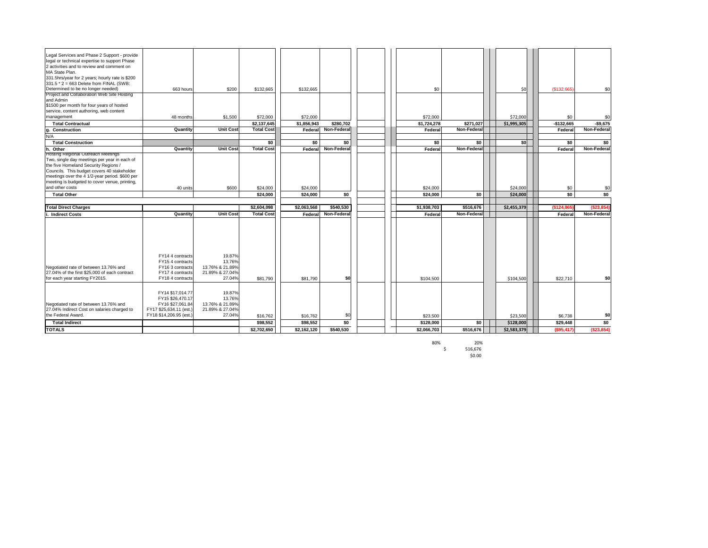80% 20% \$ 516,676  $$0.00$ 

| Legal Services and Phase 2 Support - provide                                               |                         |                  |                   |             |                    |  |                |                  |             |             |             |
|--------------------------------------------------------------------------------------------|-------------------------|------------------|-------------------|-------------|--------------------|--|----------------|------------------|-------------|-------------|-------------|
| legal or technical expertise to support Phase<br>2 activities and to review and comment on |                         |                  |                   |             |                    |  |                |                  |             |             |             |
| MA State Plan.                                                                             |                         |                  |                   |             |                    |  |                |                  |             |             |             |
| 331.5hrs/year for 2 years; hourly rate is \$200                                            |                         |                  |                   |             |                    |  |                |                  |             |             |             |
| $331.5 * 2 = 663$ Delete from FINAL (SWB:                                                  |                         |                  |                   |             |                    |  |                |                  |             |             |             |
| Determined to be no longer needed)                                                         | 663 hours               | \$200            | \$132,665         | \$132,665   |                    |  | \$0            |                  | \$0         | (\$132,665) | \$0         |
| Project and Collaboration Web Site Hosting                                                 |                         |                  |                   |             |                    |  |                |                  |             |             |             |
| and Admin<br>\$1500 per month for four years of hosted                                     |                         |                  |                   |             |                    |  |                |                  |             |             |             |
| service, content authoring, web content                                                    |                         |                  |                   |             |                    |  |                |                  |             |             |             |
| management                                                                                 | 48 months               | \$1,500          | \$72,000          | \$72,000    |                    |  | \$72,000       |                  | \$72,000    | \$0         | \$0         |
| <b>Total Contractual</b>                                                                   |                         |                  | \$2,137,645       | \$1,856,943 | \$280,702          |  | \$1,724,278    | \$271,027        | \$1,995,305 | $-$132,665$ | $-$9,675$   |
| g. Construction                                                                            | Quantity                | <b>Unit Cost</b> | <b>Total Cost</b> | Federal     | <b>Non-Federal</b> |  | <b>Federal</b> | Non-Federal      |             | Federal     | Non-Federal |
| N/A                                                                                        |                         |                  |                   |             |                    |  |                |                  |             |             |             |
| <b>Total Construction</b>                                                                  |                         |                  | \$0               | \$0         | \$0                |  | \$0            | \$0              | \$0]        | \$0         | \$0         |
| h. Other                                                                                   | Quantity                | <b>Unit Cost</b> | <b>Total Cost</b> | Federal     | <b>Non-Federal</b> |  | Federal        | Non-Federal      |             | Federal     | Non-Federal |
| <b>Hosting Regional Outreach Meetings</b>                                                  |                         |                  |                   |             |                    |  |                |                  |             |             |             |
| Two, single day meetings per year in each of                                               |                         |                  |                   |             |                    |  |                |                  |             |             |             |
| the five Homeland Security Regions /                                                       |                         |                  |                   |             |                    |  |                |                  |             |             |             |
| Councils. This budget covers 40 stakeholder                                                |                         |                  |                   |             |                    |  |                |                  |             |             |             |
| meetings over the 4 1/2-year period. \$600 per                                             |                         |                  |                   |             |                    |  |                |                  |             |             |             |
| meeting is budgeted to cover venue, printing,                                              |                         |                  |                   |             |                    |  |                |                  |             |             |             |
| and other costs                                                                            | 40 units                | \$600            | \$24,000          | \$24,000    |                    |  | \$24,000       |                  | \$24,000    | \$0         | \$0         |
| <b>Total Other</b>                                                                         |                         |                  | \$24,000          | \$24,000    | \$0                |  | \$24,000       | \$0 <sub>1</sub> | \$24,000    | \$0         | \$0         |
|                                                                                            |                         |                  |                   |             |                    |  |                |                  |             |             |             |
| <b>Total Direct Charges</b>                                                                |                         |                  | \$2,604,098       | \$2,063,568 | \$540,530          |  | \$1,938,703    | \$516,676        | \$2,455,379 | (\$124,865) | (\$23,854)  |
| . Indirect Costs                                                                           | Quantity                | <b>Unit Cost</b> | <b>Total Cost</b> | Federal     | <b>Non-Federal</b> |  | <b>Federal</b> | Non-Federal      |             | Federal     | Non-Federal |
|                                                                                            |                         |                  |                   |             |                    |  |                |                  |             |             |             |
|                                                                                            | FY14 4 contracts        | 19.87%           |                   |             |                    |  |                |                  |             |             |             |
|                                                                                            | FY15 4 contracts        | 13.76%           |                   |             |                    |  |                |                  |             |             |             |
| Negotiated rate of between 13.76% and                                                      | FY16 3 contracts        | 13.76% & 21.89%  |                   |             |                    |  |                |                  |             |             |             |
| 27.04% of the first \$25,000 of each contract                                              | FY17 4 contracts        | 21.89% & 27.04%  |                   |             |                    |  |                |                  |             |             |             |
| for each year starting FY2015.                                                             | FY18 4 contracts        | 27.04%           | \$81,790          | \$81,790    | \$0                |  | \$104,500      |                  | \$104,500   | \$22,710    | \$0         |
|                                                                                            | FY14 \$17,014.77        | 19.87%           |                   |             |                    |  |                |                  |             |             |             |
|                                                                                            | FY15 \$26,470.17        | 13.76%           |                   |             |                    |  |                |                  |             |             |             |
| Negotiated rate of between 13.76% and                                                      | FY16 \$27,061.84        | 13.76% & 21.89%  |                   |             |                    |  |                |                  |             |             |             |
| 27.04% Indirect Cost on salaries charged to                                                | FY17 \$25,634.11 (est.) | 21.89% & 27.04%  |                   |             |                    |  |                |                  |             |             |             |
| the Federal Award.                                                                         | FY18 \$14,206.95 (est.) | 27.04%           | \$16,762          | \$16,762    | \$0                |  | \$23,500       |                  | \$23,500    | \$6,738     | \$0         |
| <b>Total Indirect</b>                                                                      |                         |                  | \$98,552          | \$98,552    | \$0                |  | \$128,000      | \$0              | \$128,000   | \$29,448    | \$0         |
| <b>TOTALS</b>                                                                              |                         |                  | \$2,702,650       | \$2,162,120 | \$540,530          |  | \$2,066,703    | \$516,676        | \$2,583,379 | (\$95,417)  | (\$23,854)  |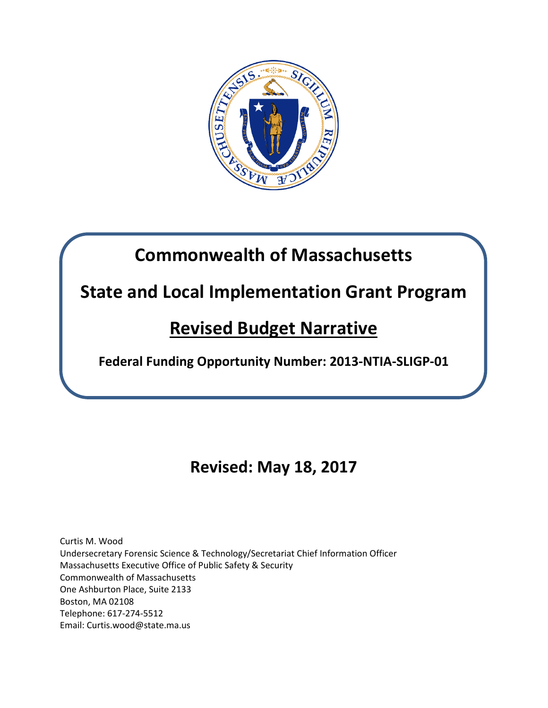

## **Commonwealth of Massachusetts**

## **State and Local Implementation Grant Program**

## **Revised Budget Narrative**

**Federal Funding Opportunity Number: 2013-NTIA-SLIGP-01**

## **Revised: May 18, 2017**

Curtis M. Wood Undersecretary Forensic Science & Technology/Secretariat Chief Information Officer Massachusetts Executive Office of Public Safety & Security Commonwealth of Massachusetts One Ashburton Place, Suite 2133 Boston, MA 02108 Telephone: 617-274-5512 Email: Curtis.wood@state.ma.us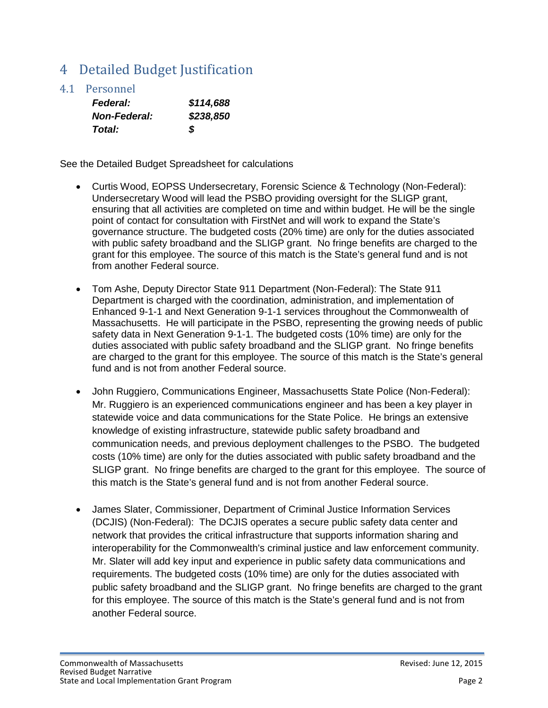## 4 Detailed Budget Justification

4.1 Personnel

| <b>Federal:</b>     | \$114,688 |
|---------------------|-----------|
| <b>Non-Federal:</b> | \$238,850 |
| Total:              | S         |

See the Detailed Budget Spreadsheet for calculations

- Curtis Wood, EOPSS Undersecretary, Forensic Science & Technology (Non-Federal): Undersecretary Wood will lead the PSBO providing oversight for the SLIGP grant, ensuring that all activities are completed on time and within budget. He will be the single point of contact for consultation with FirstNet and will work to expand the State's governance structure. The budgeted costs (20% time) are only for the duties associated with public safety broadband and the SLIGP grant. No fringe benefits are charged to the grant for this employee. The source of this match is the State's general fund and is not from another Federal source.
- Tom Ashe, Deputy Director State 911 Department (Non-Federal): The State 911 Department is charged with the coordination, administration, and implementation of Enhanced 9-1-1 and Next Generation 9-1-1 services throughout the Commonwealth of Massachusetts. He will participate in the PSBO, representing the growing needs of public safety data in Next Generation 9-1-1. The budgeted costs (10% time) are only for the duties associated with public safety broadband and the SLIGP grant. No fringe benefits are charged to the grant for this employee. The source of this match is the State's general fund and is not from another Federal source.
- John Ruggiero, Communications Engineer, Massachusetts State Police (Non-Federal): Mr. Ruggiero is an experienced communications engineer and has been a key player in statewide voice and data communications for the State Police. He brings an extensive knowledge of existing infrastructure, statewide public safety broadband and communication needs, and previous deployment challenges to the PSBO. The budgeted costs (10% time) are only for the duties associated with public safety broadband and the SLIGP grant. No fringe benefits are charged to the grant for this employee. The source of this match is the State's general fund and is not from another Federal source.
- James Slater, Commissioner, Department of Criminal Justice Information Services (DCJIS) (Non-Federal): The DCJIS operates a secure public safety data center and network that provides the critical infrastructure that supports information sharing and interoperability for the Commonwealth's criminal justice and law enforcement community. Mr. Slater will add key input and experience in public safety data communications and requirements. The budgeted costs (10% time) are only for the duties associated with public safety broadband and the SLIGP grant. No fringe benefits are charged to the grant for this employee. The source of this match is the State's general fund and is not from another Federal source.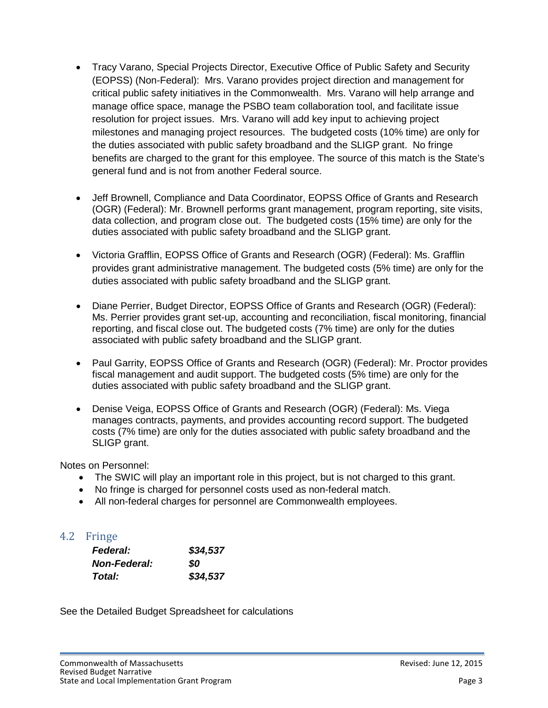- Tracy Varano, Special Projects Director, Executive Office of Public Safety and Security (EOPSS) (Non-Federal): Mrs. Varano provides project direction and management for critical public safety initiatives in the Commonwealth. Mrs. Varano will help arrange and manage office space, manage the PSBO team collaboration tool, and facilitate issue resolution for project issues. Mrs. Varano will add key input to achieving project milestones and managing project resources. The budgeted costs (10% time) are only for the duties associated with public safety broadband and the SLIGP grant. No fringe benefits are charged to the grant for this employee. The source of this match is the State's general fund and is not from another Federal source.
- Jeff Brownell, Compliance and Data Coordinator, EOPSS Office of Grants and Research (OGR) (Federal): Mr. Brownell performs grant management, program reporting, site visits, data collection, and program close out. The budgeted costs (15% time) are only for the duties associated with public safety broadband and the SLIGP grant.
- Victoria Grafflin, EOPSS Office of Grants and Research (OGR) (Federal): Ms. Grafflin provides grant administrative management. The budgeted costs (5% time) are only for the duties associated with public safety broadband and the SLIGP grant.
- Diane Perrier, Budget Director, EOPSS Office of Grants and Research (OGR) (Federal): Ms. Perrier provides grant set-up, accounting and reconciliation, fiscal monitoring, financial reporting, and fiscal close out. The budgeted costs (7% time) are only for the duties associated with public safety broadband and the SLIGP grant.
- Paul Garrity, EOPSS Office of Grants and Research (OGR) (Federal): Mr. Proctor provides fiscal management and audit support. The budgeted costs (5% time) are only for the duties associated with public safety broadband and the SLIGP grant.
- Denise Veiga, EOPSS Office of Grants and Research (OGR) (Federal): Ms. Viega manages contracts, payments, and provides accounting record support. The budgeted costs (7% time) are only for the duties associated with public safety broadband and the SLIGP grant.

Notes on Personnel:

- The SWIC will play an important role in this project, but is not charged to this grant.
- No fringe is charged for personnel costs used as non-federal match.
- All non-federal charges for personnel are Commonwealth employees.

## 4.2 Fringe

| <b>Federal:</b>     | \$34,537 |
|---------------------|----------|
| <b>Non-Federal:</b> | SO       |
| <b>Total:</b>       | \$34,537 |

See the Detailed Budget Spreadsheet for calculations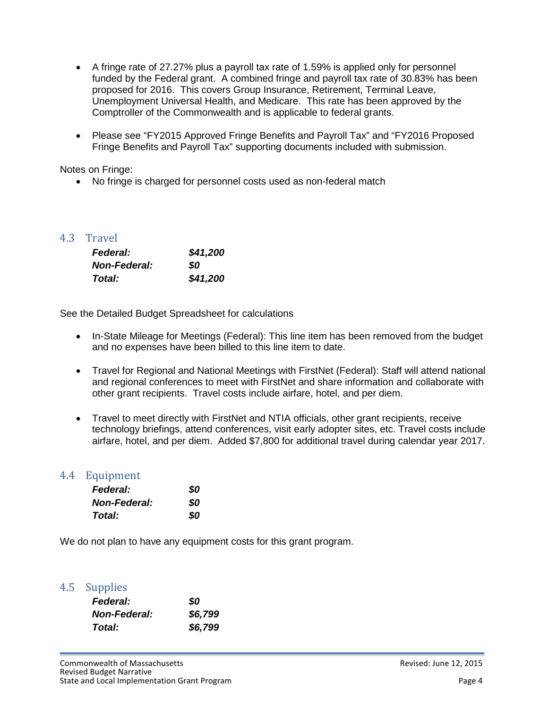- A fringe rate of 27.27% plus a payroll tax rate of 1.59% is applied only for personnel funded by the Federal grant. A combined fringe and payroll tax rate of 30.83% has been proposed for 2016. This covers Group Insurance, Retirement, Terminal Leave, Unemployment Universal Health, and Medicare. This rate has been approved by the Comptroller of the Commonwealth and is applicable to federal grants.
- Please see "FY2015 Approved Fringe Benefits and Payroll Tax" and "FY2016 Proposed Fringe Benefits and Payroll Tax" supporting documents included with submission.

Notes on Fringe:

• No fringe is charged for personnel costs used as non-federal match

## 4.3 Travel

| <b>Federal:</b>     | \$41,200 |
|---------------------|----------|
| <b>Non-Federal:</b> | SO.      |
| Total:              | \$41,200 |

See the Detailed Budget Spreadsheet for calculations

- In-State Mileage for Meetings (Federal): This line item has been removed from the budget and no expenses have been billed to this line item to date.
- Travel for Regional and National Meetings with FirstNet (Federal): Staff will attend national and regional conferences to meet with FirstNet and share information and collaborate with other grant recipients. Travel costs include airfare, hotel, and per diem.
- Travel to meet directly with FirstNet and NTIA officials, other grant recipients, receive technology briefings, attend conferences, visit early adopter sites, etc. Travel costs include airfare, hotel, and per diem. Added \$7,800 for additional travel during calendar year 2017.

## 4.4 Equipment

| <i><b>Federal:</b></i> | 80 |
|------------------------|----|
| <b>Non-Federal:</b>    | 80 |
| Total:                 | 80 |

We do not plan to have any equipment costs for this grant program.

## 4.5 Supplies

| <b>Federal:</b>     | SO      |
|---------------------|---------|
| <b>Non-Federal:</b> | \$6,799 |
| Total:              | \$6,799 |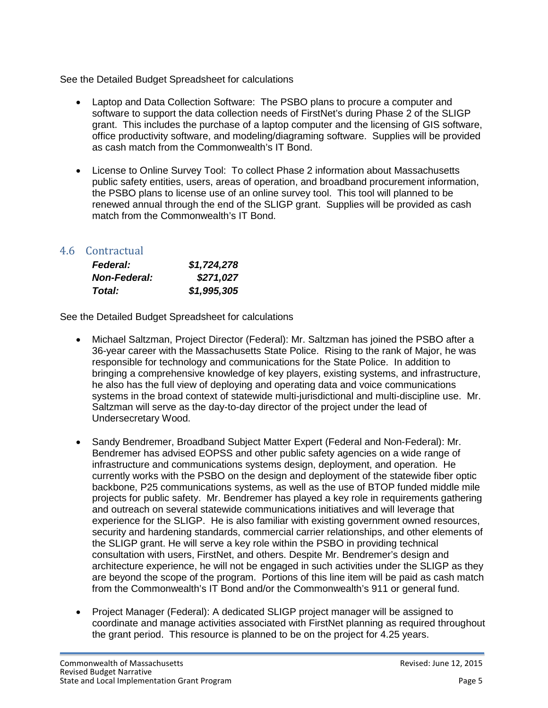See the Detailed Budget Spreadsheet for calculations

- Laptop and Data Collection Software: The PSBO plans to procure a computer and software to support the data collection needs of FirstNet's during Phase 2 of the SLIGP grant. This includes the purchase of a laptop computer and the licensing of GIS software, office productivity software, and modeling/diagraming software. Supplies will be provided as cash match from the Commonwealth's IT Bond.
- License to Online Survey Tool: To collect Phase 2 information about Massachusetts public safety entities, users, areas of operation, and broadband procurement information, the PSBO plans to license use of an online survey tool. This tool will planned to be renewed annual through the end of the SLIGP grant. Supplies will be provided as cash match from the Commonwealth's IT Bond.

## 4.6 Contractual

| <b>Federal:</b>     | \$1,724,278 |
|---------------------|-------------|
| <b>Non-Federal:</b> | \$271,027   |
| Total:              | \$1,995,305 |

See the Detailed Budget Spreadsheet for calculations

- Michael Saltzman, Project Director (Federal): Mr. Saltzman has joined the PSBO after a 36-year career with the Massachusetts State Police. Rising to the rank of Major, he was responsible for technology and communications for the State Police. In addition to bringing a comprehensive knowledge of key players, existing systems, and infrastructure, he also has the full view of deploying and operating data and voice communications systems in the broad context of statewide multi-jurisdictional and multi-discipline use. Mr. Saltzman will serve as the day-to-day director of the project under the lead of Undersecretary Wood.
- Sandy Bendremer, Broadband Subject Matter Expert (Federal and Non-Federal): Mr. Bendremer has advised EOPSS and other public safety agencies on a wide range of infrastructure and communications systems design, deployment, and operation. He currently works with the PSBO on the design and deployment of the statewide fiber optic backbone, P25 communications systems, as well as the use of BTOP funded middle mile projects for public safety. Mr. Bendremer has played a key role in requirements gathering and outreach on several statewide communications initiatives and will leverage that experience for the SLIGP. He is also familiar with existing government owned resources, security and hardening standards, commercial carrier relationships, and other elements of the SLIGP grant. He will serve a key role within the PSBO in providing technical consultation with users, FirstNet, and others. Despite Mr. Bendremer's design and architecture experience, he will not be engaged in such activities under the SLIGP as they are beyond the scope of the program. Portions of this line item will be paid as cash match from the Commonwealth's IT Bond and/or the Commonwealth's 911 or general fund.
- Project Manager (Federal): A dedicated SLIGP project manager will be assigned to coordinate and manage activities associated with FirstNet planning as required throughout the grant period. This resource is planned to be on the project for 4.25 years.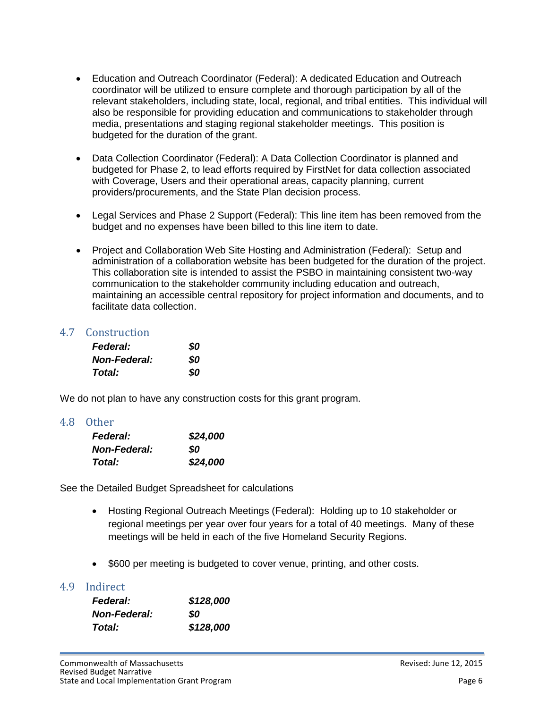- Education and Outreach Coordinator (Federal): A dedicated Education and Outreach coordinator will be utilized to ensure complete and thorough participation by all of the relevant stakeholders, including state, local, regional, and tribal entities. This individual will also be responsible for providing education and communications to stakeholder through media, presentations and staging regional stakeholder meetings. This position is budgeted for the duration of the grant.
- Data Collection Coordinator (Federal): A Data Collection Coordinator is planned and budgeted for Phase 2, to lead efforts required by FirstNet for data collection associated with Coverage, Users and their operational areas, capacity planning, current providers/procurements, and the State Plan decision process.
- Legal Services and Phase 2 Support (Federal): This line item has been removed from the budget and no expenses have been billed to this line item to date.
- Project and Collaboration Web Site Hosting and Administration (Federal): Setup and administration of a collaboration website has been budgeted for the duration of the project. This collaboration site is intended to assist the PSBO in maintaining consistent two-way communication to the stakeholder community including education and outreach, maintaining an accessible central repository for project information and documents, and to facilitate data collection.

## 4.7 Construction

| <b>Federal:</b>     | \$0 |
|---------------------|-----|
| <b>Non-Federal:</b> | 80  |
| Total:              | 80  |

We do not plan to have any construction costs for this grant program.

### 4.8 Other

| <b>Federal:</b>     | \$24,000 |
|---------------------|----------|
| <b>Non-Federal:</b> | SO       |
| Total:              | \$24,000 |

See the Detailed Budget Spreadsheet for calculations

- Hosting Regional Outreach Meetings (Federal): Holding up to 10 stakeholder or regional meetings per year over four years for a total of 40 meetings. Many of these meetings will be held in each of the five Homeland Security Regions.
- \$600 per meeting is budgeted to cover venue, printing, and other costs.

### 4.9 Indirect

| <b>Federal:</b>     | \$128,000 |
|---------------------|-----------|
| <b>Non-Federal:</b> | SO        |
| <b>Total:</b>       | \$128,000 |